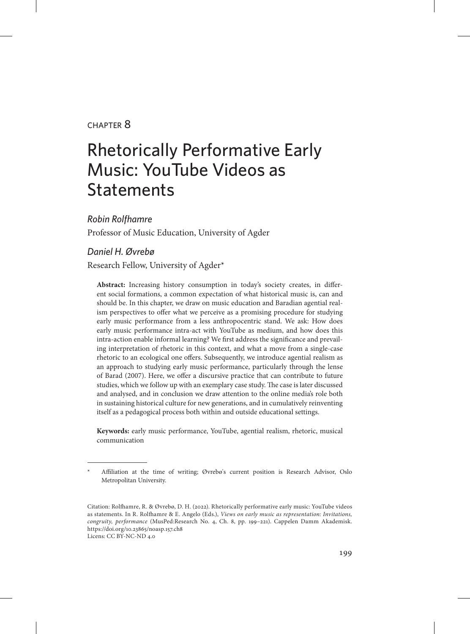### chapter 8

# Rhetorically Performative Early Music: YouTube Videos as **Statements**

*Robin Rolfhamre*

Professor of Music Education, University of Agder

#### *Daniel H. Øvrebø*

Research Fellow, University of Agder\*

**Abstract:** Increasing history consumption in today's society creates, in different social formations, a common expectation of what historical music is, can and should be. In this chapter, we draw on music education and Baradian agential realism perspectives to offer what we perceive as a promising procedure for studying early music performance from a less anthropocentric stand. We ask: How does early music performance intra-act with YouTube as medium, and how does this intra-action enable informal learning? We first address the significance and prevailing interpretation of rhetoric in this context, and what a move from a single-case rhetoric to an ecological one offers. Subsequently, we introduce agential realism as an approach to studying early music performance, particularly through the lense of Barad (2007). Here, we offer a discursive practice that can contribute to future studies, which we follow up with an exemplary case study. The case is later discussed and analysed, and in conclusion we draw attention to the online media's role both in sustaining historical culture for new generations, and in cumulatively reinventing itself as a pedagogical process both within and outside educational settings.

**Keywords:** early music performance, YouTube, agential realism, rhetoric, musical communication

Affiliation at the time of writing; Øvrebø's current position is Research Advisor, Oslo Metropolitan University.

Citation: Rolfhamre, R. & Øvrebø, D. H. (2022). Rhetorically performative early music: YouTube videos as statements. In R. Rolfhamre & E. Angelo (Eds.), *Views on early music as representation: Invitations, congruity, performance* (MusPed:Research No. 4, Ch. 8, pp. 199–221). Cappelen Damm Akademisk. https://doi.org/10.23865/noasp.157.ch8 Licens: CC BY-NC-ND 4.0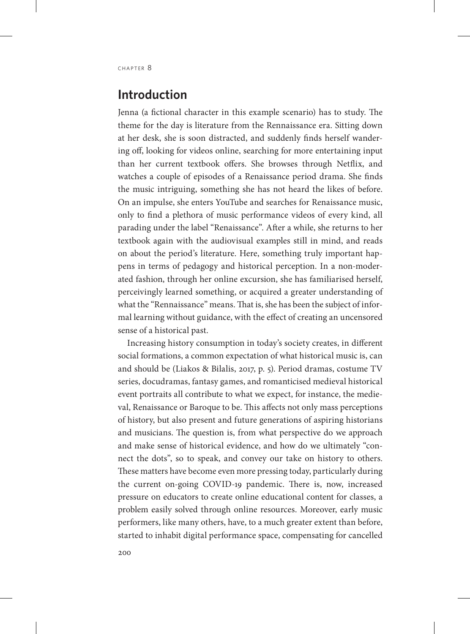# **Introduction**

Jenna (a fictional character in this example scenario) has to study. The theme for the day is literature from the Rennaissance era. Sitting down at her desk, she is soon distracted, and suddenly finds herself wandering off, looking for videos online, searching for more entertaining input than her current textbook offers. She browses through Netflix, and watches a couple of episodes of a Renaissance period drama. She finds the music intriguing, something she has not heard the likes of before. On an impulse, she enters YouTube and searches for Renaissance music, only to find a plethora of music performance videos of every kind, all parading under the label "Renaissance". After a while, she returns to her textbook again with the audiovisual examples still in mind, and reads on about the period's literature. Here, something truly important happens in terms of pedagogy and historical perception. In a non-moderated fashion, through her online excursion, she has familiarised herself, perceivingly learned something, or acquired a greater understanding of what the "Rennaissance" means. That is, she has been the subject of informal learning without guidance, with the effect of creating an uncensored sense of a historical past.

Increasing history consumption in today's society creates, in different social formations, a common expectation of what historical music is, can and should be (Liakos & Bilalis, 2017, p. 5). Period dramas, costume TV series, docudramas, fantasy games, and romanticised medieval historical event portraits all contribute to what we expect, for instance, the medieval, Renaissance or Baroque to be. This affects not only mass perceptions of history, but also present and future generations of aspiring historians and musicians. The question is, from what perspective do we approach and make sense of historical evidence, and how do we ultimately "connect the dots", so to speak, and convey our take on history to others. These matters have become even more pressing today, particularly during the current on-going COVID-19 pandemic. There is, now, increased pressure on educators to create online educational content for classes, a problem easily solved through online resources. Moreover, early music performers, like many others, have, to a much greater extent than before, started to inhabit digital performance space, compensating for cancelled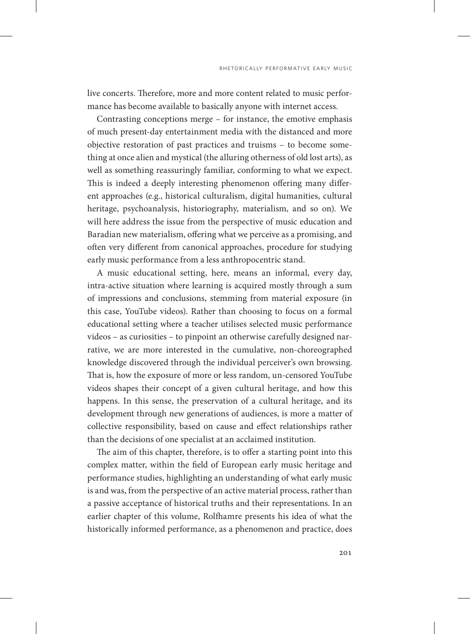live concerts. Therefore, more and more content related to music performance has become available to basically anyone with internet access.

Contrasting conceptions merge – for instance, the emotive emphasis of much present-day entertainment media with the distanced and more objective restoration of past practices and truisms – to become something at once alien and mystical (the alluring otherness of old lost arts), as well as something reassuringly familiar, conforming to what we expect. This is indeed a deeply interesting phenomenon offering many different approaches (e.g., historical culturalism, digital humanities, cultural heritage, psychoanalysis, historiography, materialism, and so on). We will here address the issue from the perspective of music education and Baradian new materialism, offering what we perceive as a promising, and often very different from canonical approaches, procedure for studying early music performance from a less anthropocentric stand.

A music educational setting, here, means an informal, every day, intra-active situation where learning is acquired mostly through a sum of impressions and conclusions, stemming from material exposure (in this case, YouTube videos). Rather than choosing to focus on a formal educational setting where a teacher utilises selected music performance videos – as curiosities – to pinpoint an otherwise carefully designed narrative, we are more interested in the cumulative, non-choreographed knowledge discovered through the individual perceiver's own browsing. That is, how the exposure of more or less random, un-censored YouTube videos shapes their concept of a given cultural heritage, and how this happens. In this sense, the preservation of a cultural heritage, and its development through new generations of audiences, is more a matter of collective responsibility, based on cause and effect relationships rather than the decisions of one specialist at an acclaimed institution.

The aim of this chapter, therefore, is to offer a starting point into this complex matter, within the field of European early music heritage and performance studies, highlighting an understanding of what early music is and was, from the perspective of an active material process, rather than a passive acceptance of historical truths and their representations. In an earlier chapter of this volume, Rolfhamre presents his idea of what the historically informed performance, as a phenomenon and practice, does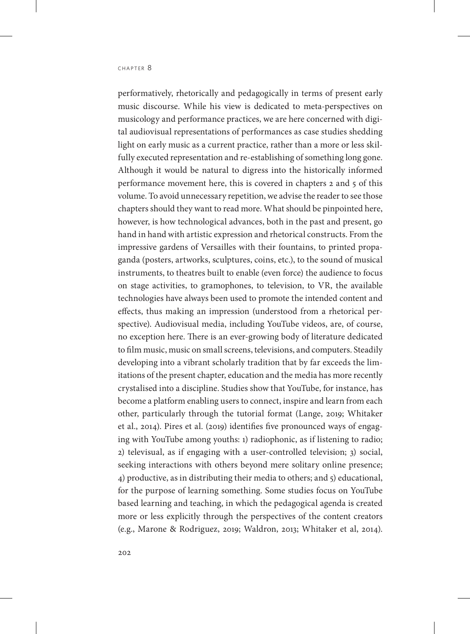performatively, rhetorically and pedagogically in terms of present early music discourse. While his view is dedicated to meta-perspectives on musicology and performance practices, we are here concerned with digital audiovisual representations of performances as case studies shedding light on early music as a current practice, rather than a more or less skilfully executed representation and re-establishing of something long gone. Although it would be natural to digress into the historically informed performance movement here, this is covered in chapters 2 and 5 of this volume. To avoid unnecessary repetition, we advise the reader to see those chapters should they want to read more. What should be pinpointed here, however, is how technological advances, both in the past and present, go hand in hand with artistic expression and rhetorical constructs. From the impressive gardens of Versailles with their fountains, to printed propaganda (posters, artworks, sculptures, coins, etc.), to the sound of musical instruments, to theatres built to enable (even force) the audience to focus on stage activities, to gramophones, to television, to VR, the available technologies have always been used to promote the intended content and effects, thus making an impression (understood from a rhetorical perspective). Audiovisual media, including YouTube videos, are, of course, no exception here. There is an ever-growing body of literature dedicated to film music, music on small screens, televisions, and computers. Steadily developing into a vibrant scholarly tradition that by far exceeds the limitations of the present chapter, education and the media has more recently crystalised into a discipline. Studies show that YouTube, for instance, has become a platform enabling users to connect, inspire and learn from each other, particularly through the tutorial format (Lange, 2019; Whitaker et al., 2014). Pires et al. (2019) identifies five pronounced ways of engaging with YouTube among youths: 1) radiophonic, as if listening to radio; 2) televisual, as if engaging with a user-controlled television; 3) social, seeking interactions with others beyond mere solitary online presence; 4) productive, as in distributing their media to others; and 5) educational, for the purpose of learning something. Some studies focus on YouTube based learning and teaching, in which the pedagogical agenda is created more or less explicitly through the perspectives of the content creators (e.g., Marone & Rodriguez, 2019; Waldron, 2013; Whitaker et al, 2014).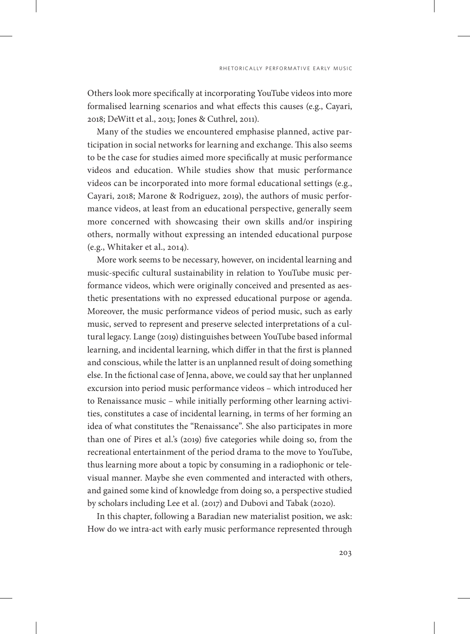Others look more specifically at incorporating YouTube videos into more formalised learning scenarios and what effects this causes (e.g., Cayari, 2018; DeWitt et al., 2013; Jones & Cuthrel, 2011).

Many of the studies we encountered emphasise planned, active participation in social networks for learning and exchange. This also seems to be the case for studies aimed more specifically at music performance videos and education. While studies show that music performance videos can be incorporated into more formal educational settings (e.g., Cayari, 2018; Marone & Rodriguez, 2019), the authors of music performance videos, at least from an educational perspective, generally seem more concerned with showcasing their own skills and/or inspiring others, normally without expressing an intended educational purpose (e.g., Whitaker et al., 2014).

More work seems to be necessary, however, on incidental learning and music-specific cultural sustainability in relation to YouTube music performance videos, which were originally conceived and presented as aesthetic presentations with no expressed educational purpose or agenda. Moreover, the music performance videos of period music, such as early music, served to represent and preserve selected interpretations of a cultural legacy. Lange (2019) distinguishes between YouTube based informal learning, and incidental learning, which differ in that the first is planned and conscious, while the latter is an unplanned result of doing something else. In the fictional case of Jenna, above, we could say that her unplanned excursion into period music performance videos – which introduced her to Renaissance music – while initially performing other learning activities, constitutes a case of incidental learning, in terms of her forming an idea of what constitutes the "Renaissance". She also participates in more than one of Pires et al.'s (2019) five categories while doing so, from the recreational entertainment of the period drama to the move to YouTube, thus learning more about a topic by consuming in a radiophonic or televisual manner. Maybe she even commented and interacted with others, and gained some kind of knowledge from doing so, a perspective studied by scholars including Lee et al. (2017) and Dubovi and Tabak (2020).

In this chapter, following a Baradian new materialist position, we ask: How do we intra-act with early music performance represented through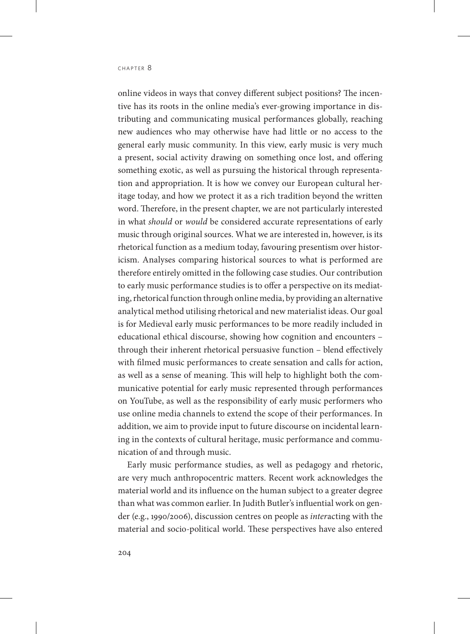online videos in ways that convey different subject positions? The incentive has its roots in the online media's ever-growing importance in distributing and communicating musical performances globally, reaching new audiences who may otherwise have had little or no access to the general early music community. In this view, early music is very much a present, social activity drawing on something once lost, and offering something exotic, as well as pursuing the historical through representation and appropriation. It is how we convey our European cultural heritage today, and how we protect it as a rich tradition beyond the written word. Therefore, in the present chapter, we are not particularly interested in what *should* or *would* be considered accurate representations of early music through original sources. What we are interested in, however, is its rhetorical function as a medium today, favouring presentism over historicism. Analyses comparing historical sources to what is performed are therefore entirely omitted in the following case studies. Our contribution to early music performance studies is to offer a perspective on its mediating, rhetorical function through online media, by providing an alternative analytical method utilising rhetorical and new materialist ideas. Our goal is for Medieval early music performances to be more readily included in educational ethical discourse, showing how cognition and encounters – through their inherent rhetorical persuasive function – blend effectively with filmed music performances to create sensation and calls for action, as well as a sense of meaning. This will help to highlight both the communicative potential for early music represented through performances on YouTube, as well as the responsibility of early music performers who use online media channels to extend the scope of their performances. In addition, we aim to provide input to future discourse on incidental learning in the contexts of cultural heritage, music performance and communication of and through music.

Early music performance studies, as well as pedagogy and rhetoric, are very much anthropocentric matters. Recent work acknowledges the material world and its influence on the human subject to a greater degree than what was common earlier. In Judith Butler's influential work on gender (e.g., 1990/2006), discussion centres on people as *inter*acting with the material and socio-political world. These perspectives have also entered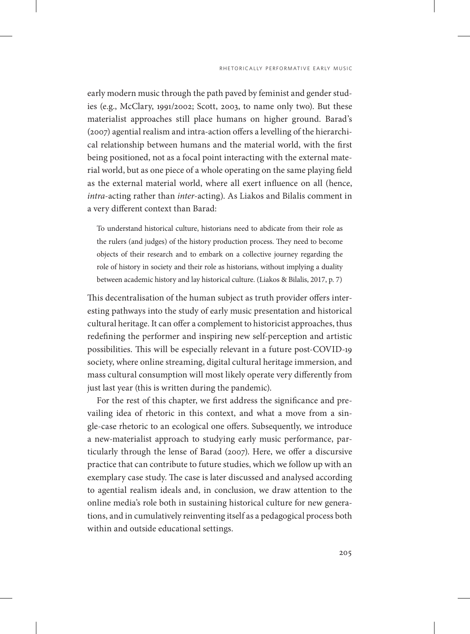early modern music through the path paved by feminist and gender studies (e.g., McClary, 1991/2002; Scott, 2003, to name only two). But these materialist approaches still place humans on higher ground. Barad's (2007) agential realism and intra-action offers a levelling of the hierarchical relationship between humans and the material world, with the first being positioned, not as a focal point interacting with the external material world, but as one piece of a whole operating on the same playing field as the external material world, where all exert influence on all (hence, *intra*-acting rather than *inter-*acting). As Liakos and Bilalis comment in a very different context than Barad:

To understand historical culture, historians need to abdicate from their role as the rulers (and judges) of the history production process. They need to become objects of their research and to embark on a collective journey regarding the role of history in society and their role as historians, without implying a duality between academic history and lay historical culture. (Liakos & Bilalis, 2017, p. 7)

This decentralisation of the human subject as truth provider offers interesting pathways into the study of early music presentation and historical cultural heritage. It can offer a complement to historicist approaches, thus redefining the performer and inspiring new self-perception and artistic possibilities. This will be especially relevant in a future post-COVID-19 society, where online streaming, digital cultural heritage immersion, and mass cultural consumption will most likely operate very differently from just last year (this is written during the pandemic).

For the rest of this chapter, we first address the significance and prevailing idea of rhetoric in this context, and what a move from a single-case rhetoric to an ecological one offers. Subsequently, we introduce a new-materialist approach to studying early music performance, particularly through the lense of Barad (2007). Here, we offer a discursive practice that can contribute to future studies, which we follow up with an exemplary case study. The case is later discussed and analysed according to agential realism ideals and, in conclusion, we draw attention to the online media's role both in sustaining historical culture for new generations, and in cumulatively reinventing itself as a pedagogical process both within and outside educational settings.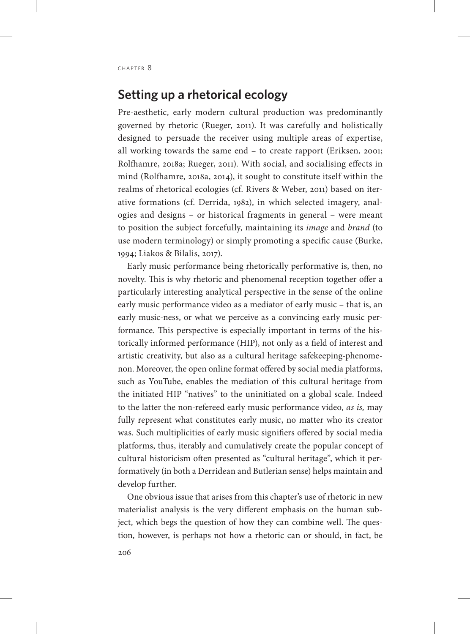# **Setting up a rhetorical ecology**

Pre-aesthetic, early modern cultural production was predominantly governed by rhetoric (Rueger, 2011). It was carefully and holistically designed to persuade the receiver using multiple areas of expertise, all working towards the same end – to create rapport (Eriksen, 2001; Rolfhamre, 2018a; Rueger, 2011). With social, and socialising effects in mind (Rolfhamre, 2018a, 2014), it sought to constitute itself within the realms of rhetorical ecologies (cf. Rivers & Weber, 2011) based on iterative formations (cf. Derrida, 1982), in which selected imagery, analogies and designs – or historical fragments in general – were meant to position the subject forcefully, maintaining its *image* and *brand* (to use modern terminology) or simply promoting a specific cause (Burke, 1994; Liakos & Bilalis, 2017).

Early music performance being rhetorically performative is, then, no novelty. This is why rhetoric and phenomenal reception together offer a particularly interesting analytical perspective in the sense of the online early music performance video as a mediator of early music – that is, an early music-ness, or what we perceive as a convincing early music performance. This perspective is especially important in terms of the historically informed performance (HIP), not only as a field of interest and artistic creativity, but also as a cultural heritage safekeeping-phenomenon. Moreover, the open online format offered by social media platforms, such as YouTube, enables the mediation of this cultural heritage from the initiated HIP "natives" to the uninitiated on a global scale. Indeed to the latter the non-refereed early music performance video, *as is,* may fully represent what constitutes early music, no matter who its creator was. Such multiplicities of early music signifiers offered by social media platforms, thus, iterably and cumulatively create the popular concept of cultural historicism often presented as "cultural heritage", which it performatively (in both a Derridean and Butlerian sense) helps maintain and develop further.

One obvious issue that arises from this chapter's use of rhetoric in new materialist analysis is the very different emphasis on the human subject, which begs the question of how they can combine well. The question, however, is perhaps not how a rhetoric can or should, in fact, be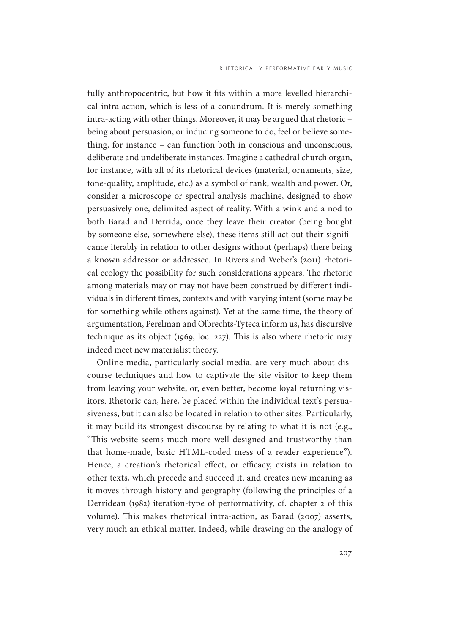fully anthropocentric, but how it fits within a more levelled hierarchical intra-action, which is less of a conundrum. It is merely something intra-acting with other things. Moreover, it may be argued that rhetoric – being about persuasion, or inducing someone to do, feel or believe something, for instance – can function both in conscious and unconscious, deliberate and undeliberate instances. Imagine a cathedral church organ, for instance, with all of its rhetorical devices (material, ornaments, size, tone-quality, amplitude, etc.) as a symbol of rank, wealth and power. Or, consider a microscope or spectral analysis machine, designed to show persuasively one, delimited aspect of reality. With a wink and a nod to both Barad and Derrida, once they leave their creator (being bought by someone else, somewhere else), these items still act out their significance iterably in relation to other designs without (perhaps) there being a known addressor or addressee. In Rivers and Weber's (2011) rhetorical ecology the possibility for such considerations appears. The rhetoric among materials may or may not have been construed by different individuals in different times, contexts and with varying intent (some may be for something while others against). Yet at the same time, the theory of argumentation, Perelman and Olbrechts-Tyteca inform us, has discursive technique as its object (1969, loc. 227). This is also where rhetoric may indeed meet new materialist theory.

Online media, particularly social media, are very much about discourse techniques and how to captivate the site visitor to keep them from leaving your website, or, even better, become loyal returning visitors. Rhetoric can, here, be placed within the individual text's persuasiveness, but it can also be located in relation to other sites. Particularly, it may build its strongest discourse by relating to what it is not (e.g., "This website seems much more well-designed and trustworthy than that home-made, basic HTML-coded mess of a reader experience"). Hence, a creation's rhetorical effect, or efficacy, exists in relation to other texts, which precede and succeed it, and creates new meaning as it moves through history and geography (following the principles of a Derridean (1982) iteration-type of performativity, cf. chapter 2 of this volume). This makes rhetorical intra-action, as Barad (2007) asserts, very much an ethical matter. Indeed, while drawing on the analogy of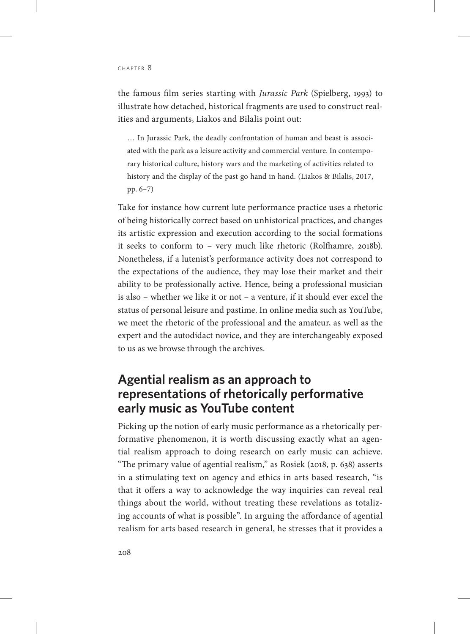the famous film series starting with *Jurassic Park* (Spielberg, 1993) to illustrate how detached, historical fragments are used to construct realities and arguments, Liakos and Bilalis point out:

… In Jurassic Park, the deadly confrontation of human and beast is associated with the park as a leisure activity and commercial venture. In contemporary historical culture, history wars and the marketing of activities related to history and the display of the past go hand in hand. (Liakos & Bilalis, 2017, pp. 6–7)

Take for instance how current lute performance practice uses a rhetoric of being historically correct based on unhistorical practices, and changes its artistic expression and execution according to the social formations it seeks to conform to – very much like rhetoric (Rolfhamre, 2018b). Nonetheless, if a lutenist's performance activity does not correspond to the expectations of the audience, they may lose their market and their ability to be professionally active. Hence, being a professional musician is also – whether we like it or not – a venture, if it should ever excel the status of personal leisure and pastime. In online media such as YouTube, we meet the rhetoric of the professional and the amateur, as well as the expert and the autodidact novice, and they are interchangeably exposed to us as we browse through the archives.

# **Agential realism as an approach to representations of rhetorically performative early music as YouTube content**

Picking up the notion of early music performance as a rhetorically performative phenomenon, it is worth discussing exactly what an agential realism approach to doing research on early music can achieve. "The primary value of agential realism," as Rosiek (2018, p. 638) asserts in a stimulating text on agency and ethics in arts based research, "is that it offers a way to acknowledge the way inquiries can reveal real things about the world, without treating these revelations as totalizing accounts of what is possible". In arguing the affordance of agential realism for arts based research in general, he stresses that it provides a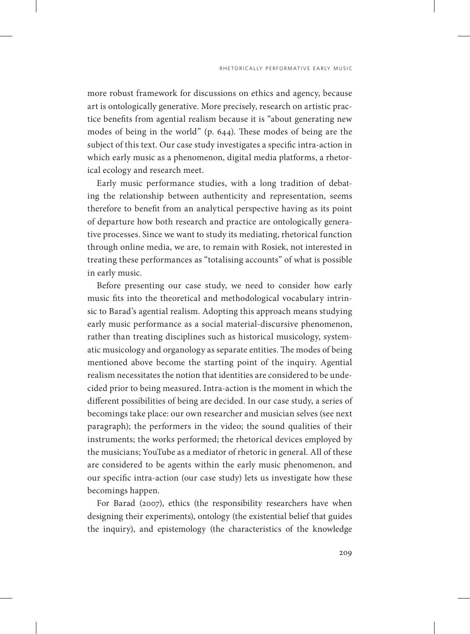more robust framework for discussions on ethics and agency, because art is ontologically generative. More precisely, research on artistic practice benefits from agential realism because it is "about generating new modes of being in the world" (p. 644). These modes of being are the subject of this text. Our case study investigates a specific intra-action in which early music as a phenomenon, digital media platforms, a rhetorical ecology and research meet.

Early music performance studies, with a long tradition of debating the relationship between authenticity and representation, seems therefore to benefit from an analytical perspective having as its point of departure how both research and practice are ontologically generative processes. Since we want to study its mediating, rhetorical function through online media, we are, to remain with Rosiek, not interested in treating these performances as "totalising accounts" of what is possible in early music.

Before presenting our case study, we need to consider how early music fits into the theoretical and methodological vocabulary intrinsic to Barad's agential realism. Adopting this approach means studying early music performance as a social material-discursive phenomenon, rather than treating disciplines such as historical musicology, systematic musicology and organology as separate entities. The modes of being mentioned above become the starting point of the inquiry. Agential realism necessitates the notion that identities are considered to be undecided prior to being measured. Intra-action is the moment in which the different possibilities of being are decided. In our case study, a series of becomings take place: our own researcher and musician selves (see next paragraph); the performers in the video; the sound qualities of their instruments; the works performed; the rhetorical devices employed by the musicians; YouTube as a mediator of rhetoric in general. All of these are considered to be agents within the early music phenomenon, and our specific intra-action (our case study) lets us investigate how these becomings happen.

For Barad (2007), ethics (the responsibility researchers have when designing their experiments), ontology (the existential belief that guides the inquiry), and epistemology (the characteristics of the knowledge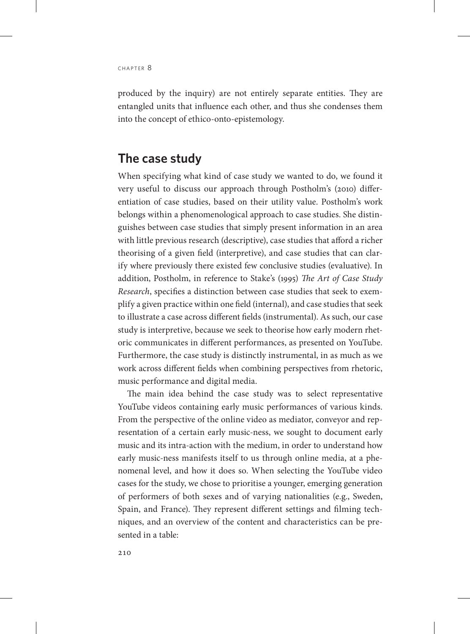produced by the inquiry) are not entirely separate entities. They are entangled units that influence each other, and thus she condenses them into the concept of ethico-onto-epistemology.

# **The case study**

When specifying what kind of case study we wanted to do, we found it very useful to discuss our approach through Postholm's (2010) differentiation of case studies, based on their utility value. Postholm's work belongs within a phenomenological approach to case studies. She distinguishes between case studies that simply present information in an area with little previous research (descriptive), case studies that afford a richer theorising of a given field (interpretive), and case studies that can clarify where previously there existed few conclusive studies (evaluative). In addition, Postholm, in reference to Stake's (1995) *The Art of Case Study Research*, specifies a distinction between case studies that seek to exemplify a given practice within one field (internal), and case studies that seek to illustrate a case across different fields (instrumental). As such, our case study is interpretive, because we seek to theorise how early modern rhetoric communicates in different performances, as presented on YouTube. Furthermore, the case study is distinctly instrumental, in as much as we work across different fields when combining perspectives from rhetoric, music performance and digital media.

The main idea behind the case study was to select representative YouTube videos containing early music performances of various kinds. From the perspective of the online video as mediator, conveyor and representation of a certain early music-ness, we sought to document early music and its intra-action with the medium, in order to understand how early music-ness manifests itself to us through online media, at a phenomenal level, and how it does so. When selecting the YouTube video cases for the study, we chose to prioritise a younger, emerging generation of performers of both sexes and of varying nationalities (e.g., Sweden, Spain, and France). They represent different settings and filming techniques, and an overview of the content and characteristics can be presented in a table: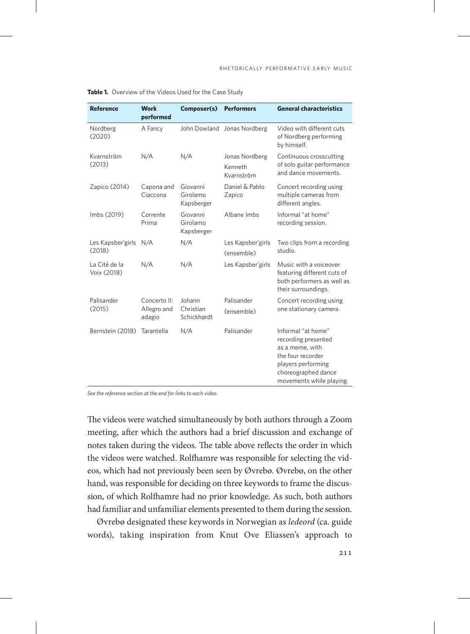| <b>Reference</b>             | <b>Work</b><br>performed              | Composer(s)                        | <b>Performers</b>                       | <b>General characteristics</b>                                                                                                                             |
|------------------------------|---------------------------------------|------------------------------------|-----------------------------------------|------------------------------------------------------------------------------------------------------------------------------------------------------------|
| Nordberg<br>(2020)           | A Fancy                               |                                    | John Dowland Jonas Nordberg             | Video with different cuts<br>of Nordberg performing<br>by himself.                                                                                         |
| Kvarnström<br>(2013)         | N/A                                   | N/A                                | Jonas Nordberg<br>Kenneth<br>Kvarnström | Continuous crosscutting<br>of solo guitar performance<br>and dance movements.                                                                              |
| Zapico (2014)                | Capona and<br>Ciaccona                | Giovanni<br>Girolamo<br>Kapsberger | Daniel & Pablo<br>Zapico                | Concert recording using<br>multiple cameras from<br>different angles.                                                                                      |
| Imbs (2019)                  | Corrente<br>Prima                     | Giovanni<br>Girolamo<br>Kapsberger | Albane Imbs                             | Informal "at home"<br>recording session.                                                                                                                   |
| Les Kapsber'girls<br>(2018)  | N/A                                   | N/A                                | Les Kapsber'girls<br>(ensemble)         | Two clips from a recording<br>studio.                                                                                                                      |
| La Cité de la<br>Voix (2018) | N/A                                   | N/A                                | Les Kapsber'girls                       | Music with a voiceover<br>featuring different cuts of<br>both performers as well as<br>their surroundings.                                                 |
| Palisander<br>(2015)         | Concerto II:<br>Allegro and<br>adagio | Johann<br>Christian<br>Schickhardt | Palisander                              | Concert recording using<br>one stationary camera.                                                                                                          |
|                              |                                       |                                    | (ensemble)                              |                                                                                                                                                            |
| Bernstein (2018)             | Tarantella                            | N/A                                | Palisander                              | Informal "at home"<br>recording presented<br>as a meme, with<br>the four recorder<br>players performing<br>choreographed dance<br>movements while playing. |

**Table 1.** Overview of the Videos Used for the Case Study

*See the reference section at the end for links to each video.*

The videos were watched simultaneously by both authors through a Zoom meeting, after which the authors had a brief discussion and exchange of notes taken during the videos. The table above reflects the order in which the videos were watched. Rolfhamre was responsible for selecting the videos, which had not previously been seen by Øvrebø. Øvrebø, on the other hand, was responsible for deciding on three keywords to frame the discussion, of which Rolfhamre had no prior knowledge. As such, both authors had familiar and unfamiliar elements presented to them during the session.

Øvrebø designated these keywords in Norwegian as *ledeord* (ca. guide words), taking inspiration from Knut Ove Eliassen's approach to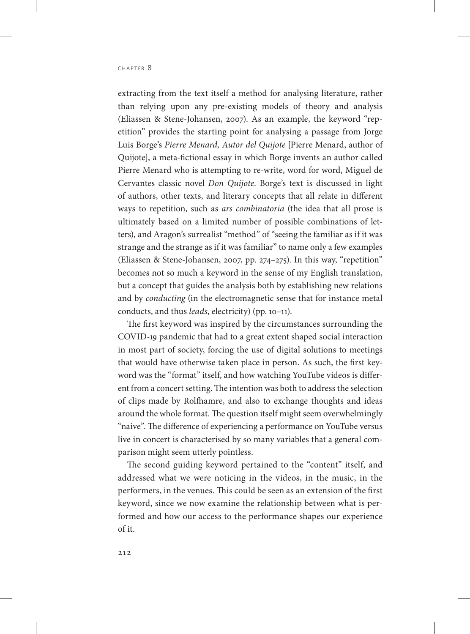extracting from the text itself a method for analysing literature, rather than relying upon any pre-existing models of theory and analysis (Eliassen & Stene-Johansen, 2007). As an example, the keyword "repetition" provides the starting point for analysing a passage from Jorge Luis Borge's *Pierre Menard, Autor del Quijote* [Pierre Menard, author of Quijote], a meta-fictional essay in which Borge invents an author called Pierre Menard who is attempting to re-write, word for word, Miguel de Cervantes classic novel *Don Quijote*. Borge's text is discussed in light of authors, other texts, and literary concepts that all relate in different ways to repetition, such as *ars combinatoria* (the idea that all prose is ultimately based on a limited number of possible combinations of letters), and Aragon's surrealist "method" of "seeing the familiar as if it was strange and the strange as if it was familiar" to name only a few examples (Eliassen & Stene-Johansen, 2007, pp. 274–275). In this way, "repetition" becomes not so much a keyword in the sense of my English translation, but a concept that guides the analysis both by establishing new relations and by *conducting* (in the electromagnetic sense that for instance metal conducts, and thus *leads*, electricity) (pp. 10–11).

The first keyword was inspired by the circumstances surrounding the COVID-19 pandemic that had to a great extent shaped social interaction in most part of society, forcing the use of digital solutions to meetings that would have otherwise taken place in person. As such, the first keyword was the "format" itself, and how watching YouTube videos is different from a concert setting. The intention was both to address the selection of clips made by Rolfhamre, and also to exchange thoughts and ideas around the whole format. The question itself might seem overwhelmingly "naive". The difference of experiencing a performance on YouTube versus live in concert is characterised by so many variables that a general comparison might seem utterly pointless.

The second guiding keyword pertained to the "content" itself, and addressed what we were noticing in the videos, in the music, in the performers, in the venues. This could be seen as an extension of the first keyword, since we now examine the relationship between what is performed and how our access to the performance shapes our experience of it.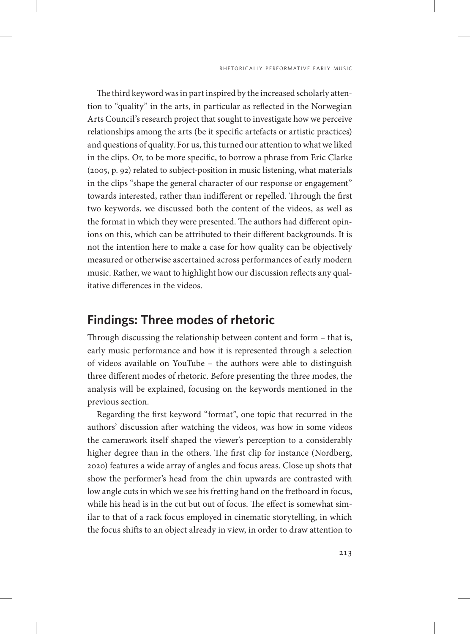The third keyword was in part inspired by the increased scholarly attention to "quality" in the arts, in particular as reflected in the Norwegian Arts Council's research project that sought to investigate how we perceive relationships among the arts (be it specific artefacts or artistic practices) and questions of quality. For us, this turned our attention to what we liked in the clips. Or, to be more specific, to borrow a phrase from Eric Clarke (2005, p. 92) related to subject-position in music listening, what materials in the clips "shape the general character of our response or engagement" towards interested, rather than indifferent or repelled. Through the first two keywords, we discussed both the content of the videos, as well as the format in which they were presented. The authors had different opinions on this, which can be attributed to their different backgrounds. It is not the intention here to make a case for how quality can be objectively measured or otherwise ascertained across performances of early modern music. Rather, we want to highlight how our discussion reflects any qualitative differences in the videos.

## **Findings: Three modes of rhetoric**

Through discussing the relationship between content and form – that is, early music performance and how it is represented through a selection of videos available on YouTube – the authors were able to distinguish three different modes of rhetoric. Before presenting the three modes, the analysis will be explained, focusing on the keywords mentioned in the previous section.

Regarding the first keyword "format", one topic that recurred in the authors' discussion after watching the videos, was how in some videos the camerawork itself shaped the viewer's perception to a considerably higher degree than in the others. The first clip for instance (Nordberg, 2020) features a wide array of angles and focus areas. Close up shots that show the performer's head from the chin upwards are contrasted with low angle cuts in which we see his fretting hand on the fretboard in focus, while his head is in the cut but out of focus. The effect is somewhat similar to that of a rack focus employed in cinematic storytelling, in which the focus shifts to an object already in view, in order to draw attention to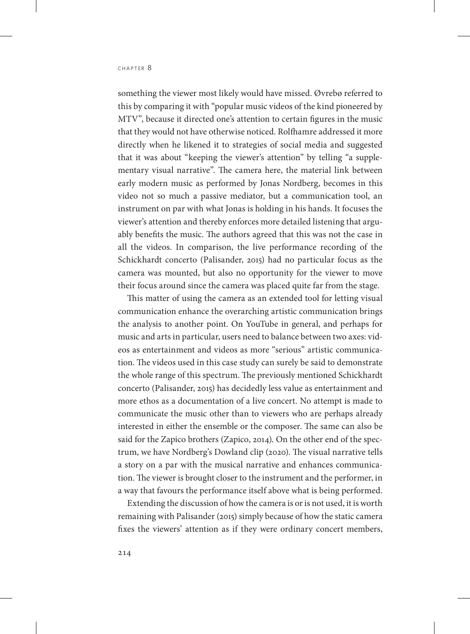something the viewer most likely would have missed. Øvrebø referred to this by comparing it with "popular music videos of the kind pioneered by MTV", because it directed one's attention to certain figures in the music that they would not have otherwise noticed. Rolfhamre addressed it more directly when he likened it to strategies of social media and suggested that it was about "keeping the viewer's attention" by telling "a supplementary visual narrative". The camera here, the material link between early modern music as performed by Jonas Nordberg, becomes in this video not so much a passive mediator, but a communication tool, an instrument on par with what Jonas is holding in his hands. It focuses the viewer's attention and thereby enforces more detailed listening that arguably benefits the music. The authors agreed that this was not the case in all the videos. In comparison, the live performance recording of the Schickhardt concerto (Palisander, 2015) had no particular focus as the camera was mounted, but also no opportunity for the viewer to move their focus around since the camera was placed quite far from the stage.

This matter of using the camera as an extended tool for letting visual communication enhance the overarching artistic communication brings the analysis to another point. On YouTube in general, and perhaps for music and arts in particular, users need to balance between two axes: videos as entertainment and videos as more "serious" artistic communication. The videos used in this case study can surely be said to demonstrate the whole range of this spectrum. The previously mentioned Schickhardt concerto (Palisander, 2015) has decidedly less value as entertainment and more ethos as a documentation of a live concert. No attempt is made to communicate the music other than to viewers who are perhaps already interested in either the ensemble or the composer. The same can also be said for the Zapico brothers (Zapico, 2014). On the other end of the spectrum, we have Nordberg's Dowland clip (2020). The visual narrative tells a story on a par with the musical narrative and enhances communication. The viewer is brought closer to the instrument and the performer, in a way that favours the performance itself above what is being performed.

Extending the discussion of how the camera is or is not used, it is worth remaining with Palisander (2015) simply because of how the static camera fixes the viewers' attention as if they were ordinary concert members,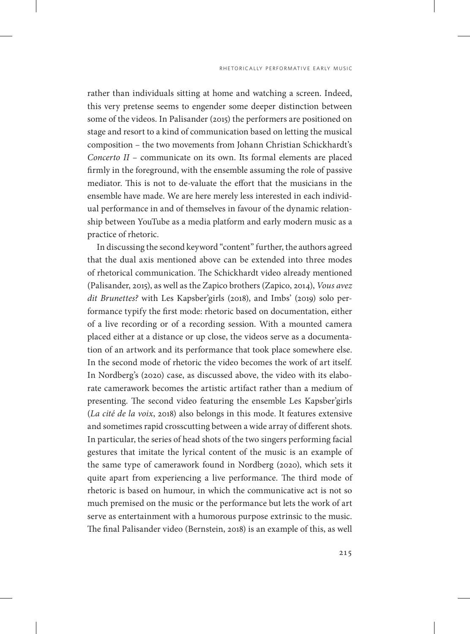rather than individuals sitting at home and watching a screen. Indeed, this very pretense seems to engender some deeper distinction between some of the videos. In Palisander (2015) the performers are positioned on stage and resort to a kind of communication based on letting the musical composition – the two movements from Johann Christian Schickhardt's *Concerto II* – communicate on its own. Its formal elements are placed firmly in the foreground, with the ensemble assuming the role of passive mediator. This is not to de-valuate the effort that the musicians in the ensemble have made. We are here merely less interested in each individual performance in and of themselves in favour of the dynamic relationship between YouTube as a media platform and early modern music as a practice of rhetoric.

In discussing the second keyword "content" further, the authors agreed that the dual axis mentioned above can be extended into three modes of rhetorical communication. The Schickhardt video already mentioned (Palisander, 2015), as well as the Zapico brothers (Zapico, 2014), *Vous avez dit Brunettes?* with Les Kapsber'girls (2018), and Imbs' (2019) solo performance typify the first mode: rhetoric based on documentation, either of a live recording or of a recording session. With a mounted camera placed either at a distance or up close, the videos serve as a documentation of an artwork and its performance that took place somewhere else. In the second mode of rhetoric the video becomes the work of art itself. In Nordberg's (2020) case, as discussed above, the video with its elaborate camerawork becomes the artistic artifact rather than a medium of presenting. The second video featuring the ensemble Les Kapsber'girls (*La cité de la voix*, 2018) also belongs in this mode. It features extensive and sometimes rapid crosscutting between a wide array of different shots. In particular, the series of head shots of the two singers performing facial gestures that imitate the lyrical content of the music is an example of the same type of camerawork found in Nordberg (2020), which sets it quite apart from experiencing a live performance. The third mode of rhetoric is based on humour, in which the communicative act is not so much premised on the music or the performance but lets the work of art serve as entertainment with a humorous purpose extrinsic to the music. The final Palisander video (Bernstein, 2018) is an example of this, as well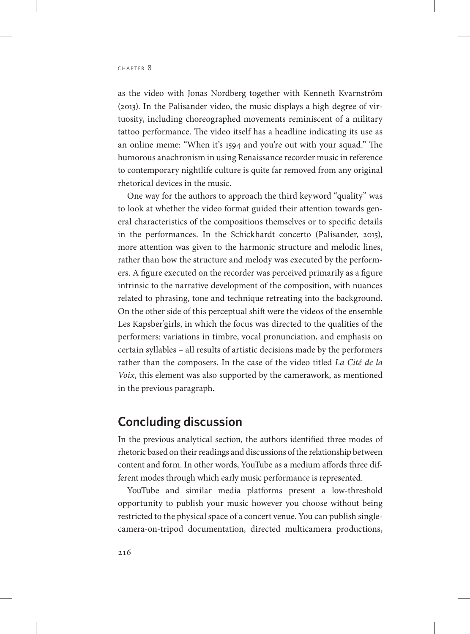as the video with Jonas Nordberg together with Kenneth Kvarnström (2013). In the Palisander video, the music displays a high degree of virtuosity, including choreographed movements reminiscent of a military tattoo performance. The video itself has a headline indicating its use as an online meme: "When it's 1594 and you're out with your squad." The humorous anachronism in using Renaissance recorder music in reference to contemporary nightlife culture is quite far removed from any original rhetorical devices in the music.

One way for the authors to approach the third keyword "quality" was to look at whether the video format guided their attention towards general characteristics of the compositions themselves or to specific details in the performances. In the Schickhardt concerto (Palisander, 2015), more attention was given to the harmonic structure and melodic lines, rather than how the structure and melody was executed by the performers. A figure executed on the recorder was perceived primarily as a figure intrinsic to the narrative development of the composition, with nuances related to phrasing, tone and technique retreating into the background. On the other side of this perceptual shift were the videos of the ensemble Les Kapsber'girls, in which the focus was directed to the qualities of the performers: variations in timbre, vocal pronunciation, and emphasis on certain syllables – all results of artistic decisions made by the performers rather than the composers. In the case of the video titled *La Cité de la Voix*, this element was also supported by the camerawork, as mentioned in the previous paragraph.

# **Concluding discussion**

In the previous analytical section, the authors identified three modes of rhetoric based on their readings and discussions of the relationship between content and form. In other words, YouTube as a medium affords three different modes through which early music performance is represented.

YouTube and similar media platforms present a low-threshold opportunity to publish your music however you choose without being restricted to the physical space of a concert venue. You can publish singlecamera-on-tripod documentation, directed multicamera productions,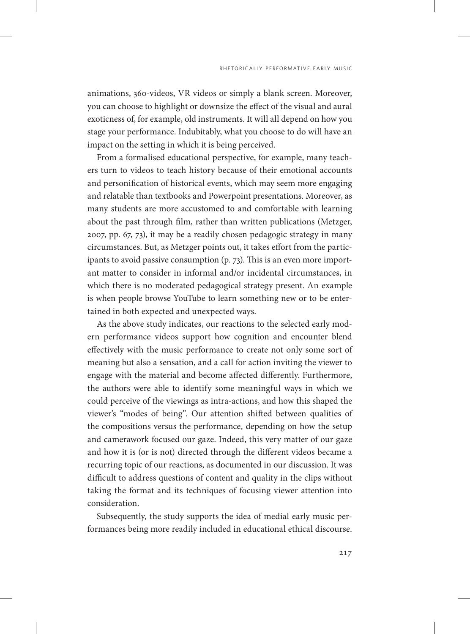animations, 360-videos, VR videos or simply a blank screen. Moreover, you can choose to highlight or downsize the effect of the visual and aural exoticness of, for example, old instruments. It will all depend on how you stage your performance. Indubitably, what you choose to do will have an impact on the setting in which it is being perceived.

From a formalised educational perspective, for example, many teachers turn to videos to teach history because of their emotional accounts and personification of historical events, which may seem more engaging and relatable than textbooks and Powerpoint presentations. Moreover, as many students are more accustomed to and comfortable with learning about the past through film, rather than written publications (Metzger, 2007, pp. 67, 73), it may be a readily chosen pedagogic strategy in many circumstances. But, as Metzger points out, it takes effort from the participants to avoid passive consumption (p. 73). This is an even more important matter to consider in informal and/or incidental circumstances, in which there is no moderated pedagogical strategy present. An example is when people browse YouTube to learn something new or to be entertained in both expected and unexpected ways.

As the above study indicates, our reactions to the selected early modern performance videos support how cognition and encounter blend effectively with the music performance to create not only some sort of meaning but also a sensation, and a call for action inviting the viewer to engage with the material and become affected differently. Furthermore, the authors were able to identify some meaningful ways in which we could perceive of the viewings as intra-actions, and how this shaped the viewer's "modes of being". Our attention shifted between qualities of the compositions versus the performance, depending on how the setup and camerawork focused our gaze. Indeed, this very matter of our gaze and how it is (or is not) directed through the different videos became a recurring topic of our reactions, as documented in our discussion. It was difficult to address questions of content and quality in the clips without taking the format and its techniques of focusing viewer attention into consideration.

Subsequently, the study supports the idea of medial early music performances being more readily included in educational ethical discourse.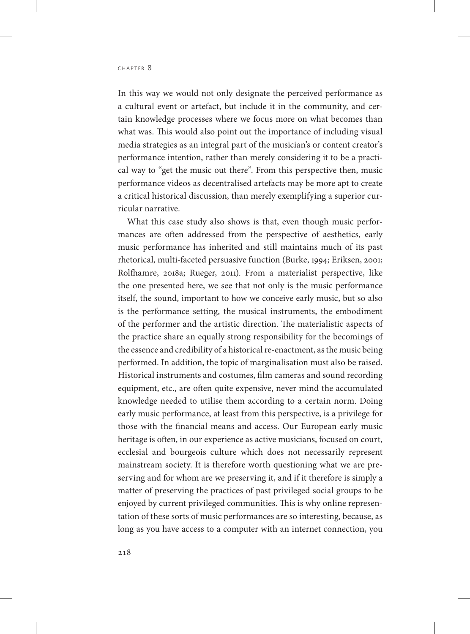In this way we would not only designate the perceived performance as a cultural event or artefact, but include it in the community, and certain knowledge processes where we focus more on what becomes than what was. This would also point out the importance of including visual media strategies as an integral part of the musician's or content creator's performance intention, rather than merely considering it to be a practical way to "get the music out there". From this perspective then, music performance videos as decentralised artefacts may be more apt to create a critical historical discussion, than merely exemplifying a superior curricular narrative.

What this case study also shows is that, even though music performances are often addressed from the perspective of aesthetics, early music performance has inherited and still maintains much of its past rhetorical, multi-faceted persuasive function (Burke, 1994; Eriksen, 2001; Rolfhamre, 2018a; Rueger, 2011). From a materialist perspective, like the one presented here, we see that not only is the music performance itself, the sound, important to how we conceive early music, but so also is the performance setting, the musical instruments, the embodiment of the performer and the artistic direction. The materialistic aspects of the practice share an equally strong responsibility for the becomings of the essence and credibility of a historical re-enactment, as the music being performed. In addition, the topic of marginalisation must also be raised. Historical instruments and costumes, film cameras and sound recording equipment, etc., are often quite expensive, never mind the accumulated knowledge needed to utilise them according to a certain norm. Doing early music performance, at least from this perspective, is a privilege for those with the financial means and access. Our European early music heritage is often, in our experience as active musicians, focused on court, ecclesial and bourgeois culture which does not necessarily represent mainstream society. It is therefore worth questioning what we are preserving and for whom are we preserving it, and if it therefore is simply a matter of preserving the practices of past privileged social groups to be enjoyed by current privileged communities. This is why online representation of these sorts of music performances are so interesting, because, as long as you have access to a computer with an internet connection, you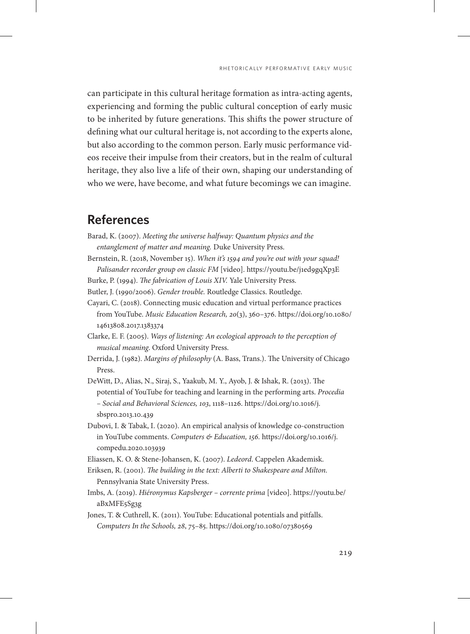can participate in this cultural heritage formation as intra-acting agents, experiencing and forming the public cultural conception of early music to be inherited by future generations. This shifts the power structure of defining what our cultural heritage is, not according to the experts alone, but also according to the common person. Early music performance videos receive their impulse from their creators, but in the realm of cultural heritage, they also live a life of their own, shaping our understanding of who we were, have become, and what future becomings we can imagine.

# **References**

- Barad, K. (2007). *Meeting the universe halfway: Quantum physics and the entanglement of matter and meaning.* Duke University Press.
- Bernstein, R. (2018, November 15). *When it's 1594 and you're out with your squad! Palisander recorder group on classic FM* [video].<https://youtu.be/j1ed9gqXp3E>
- Burke, P. (1994). *The fabrication of Louis XIV.* Yale University Press.
- Butler, J. (1990/2006). *Gender trouble.* Routledge Classics. Routledge.
- Cayari, C. (2018). Connecting music education and virtual performance practices from YouTube. *Music Education Research, 20*(3), 360–376. [https://doi.org/10.1080/](https://doi.org/10.1080/14613808.2017.1383374) [14613808.2017.1383374](https://doi.org/10.1080/14613808.2017.1383374)
- Clarke, E. F. (2005). *Ways of listening: An ecological approach to the perception of musical meaning*. Oxford University Press.
- Derrida, J. (1982). *Margins of philosophy* (A. Bass, Trans.). The University of Chicago Press.
- DeWitt, D., Alias, N., Siraj, S., Yaakub, M. Y., Ayob, J. & Ishak, R. (2013). The potential of YouTube for teaching and learning in the performing arts. *Procedia – Social and Behavioral Sciences, 103*, 1118–1126. [https://doi.org/10.1016/j.](https://doi.org/10.1016/j.sbspro.2013.10.439) [sbspro.2013.10.439](https://doi.org/10.1016/j.sbspro.2013.10.439)
- Dubovi, I. & Tabak, I. (2020). An empirical analysis of knowledge co-construction in YouTube comments. *Computers & Education, 156.* [https://doi.org/10.1016/j.](https://doi.org/10.1016/j.compedu.2020.103939) [compedu.2020.103939](https://doi.org/10.1016/j.compedu.2020.103939)
- Eliassen, K. O. & Stene-Johansen, K. (2007). *Ledeord*. Cappelen Akademisk.
- Eriksen, R. (2001). *The building in the text: Alberti to Shakespeare and Milton.* Pennsylvania State University Press.
- Imbs, A. (2019). *Hiéronymus Kapsberger corrente prima* [video]. [https://youtu.be/](https://youtu.be/aBxMFE5Sg3g) [aBxMFE5Sg3g](https://youtu.be/aBxMFE5Sg3g)
- Jones, T. & Cuthrell, K. (2011). YouTube: Educational potentials and pitfalls. *Computers In the Schools, 28*, 75–85.<https://doi.org/10.1080/07380569>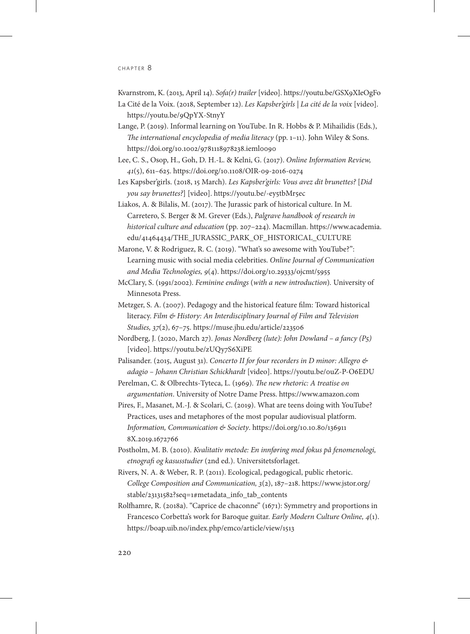Kvarnstrom, K. (2013, April 14). *Sofa(r) trailer* [video]. <https://youtu.be/GSX9XIeOgFo>

- La Cité de la Voix. (2018, September 12). *Les Kapsber'girls | La cité de la voix* [video]. <https://youtu.be/9QpYX-StnyY>
- Lange, P. (2019). Informal learning on YouTube. In R. Hobbs & P. Mihailidis (Eds.), *The international encyclopedia of media literacy* (pp. 1–11). John Wiley & Sons. <https://doi.org/10.1002/9781118978238.ieml0090>
- Lee, C. S., Osop, H., Goh, D. H.-L. & Kelni, G. (2017). *Online Information Review, 41*(5), 611–625.<https://doi.org/10.1108/OIR-09-2016-0274>
- Les Kapsber'girls. (2018, 15 March). *Les Kapsber'girls: Vous avez dit brunettes?* [*Did you say brunettes?*] [video].<https://youtu.be/-ey5tbMr5ec>
- Liakos, A. & Bilalis, M. (2017). The Jurassic park of historical culture. In M. Carretero, S. Berger & M. Grever (Eds.), *Palgrave handbook of research in historical culture and education* (pp. 207–224). Macmillan. [https://www.academia.](https://www.academia.edu/41464434/THE_JURASSIC_PARK_OF_HISTORICAL_CULTURE) [edu/41464434/THE\\_JURASSIC\\_PARK\\_OF\\_HISTORICAL\\_CULTURE](https://www.academia.edu/41464434/THE_JURASSIC_PARK_OF_HISTORICAL_CULTURE)
- Marone, V. & Rodriguez, R. C. (2019). "What's so awesome with YouTube?": Learning music with social media celebrities. *Online Journal of Communication and Media Technologies, 9*(4). <https://doi.org/10.29333/ojcmt/5955>
- McClary, S. (1991/2002). *Feminine endings* (*with a new introduction*)*.* University of Minnesota Press.
- Metzger, S. A. (2007). Pedagogy and the historical feature film: Toward historical literacy. *Film & History: An Interdisciplinary Journal of Film and Television Studies, 37*(2), 67–75.<https://muse.jhu.edu/article/223506>
- Nordberg, J. (2020, March 27). *Jonas Nordberg (lute): John Dowland a fancy (P5)* [video].<https://youtu.be/zUQy7S6XiPE>
- Palisander. (2015, August 31). *Concerto II for four recorders in D minor: Allegro & adagio – Johann Christian Schickhardt* [video]. <https://youtu.be/0uZ-P-O6EDU>
- Perelman, C. & Olbrechts-Tyteca, L. (1969). *The new rhetoric: A treatise on argumentation*. University of Notre Dame Press.<https://www.amazon.com>
- Pires, F., Masanet, M.-J. & Scolari, C. (2019). What are teens doing with YouTube? Practices, uses and metaphores of the most popular audiovisual platform. *Information, Communication & Society*. [https://doi.org/10.10.80/136911](https://doi.org/10.10.80/1369118X.2019.1672766) [8X.2019.1672766](https://doi.org/10.10.80/1369118X.2019.1672766)
- Postholm, M. B. (2010). *Kvalitativ metode: En innføring med fokus på fenomenologi, etnografi og kasusstudier* (2nd ed.). Universitetsforlaget.
- Rivers, N. A. & Weber, R. P. (2011). Ecological, pedagogical, public rhetoric. *College Composition and Communication, 3*(2), 187–218. [https://www.jstor.org/](https://www.jstor.org/stable/23131582?seq=1#metadata_info_tab_contents) [stable/23131582?seq=1#metadata\\_info\\_tab\\_contents](https://www.jstor.org/stable/23131582?seq=1#metadata_info_tab_contents)
- Rolfhamre, R. (2018a). "Caprice de chaconne" (1671): Symmetry and proportions in Francesco Corbetta's work for Baroque guitar. *Early Modern Culture Online, 4*(1). <https://boap.uib.no/index.php/emco/article/view/1513>